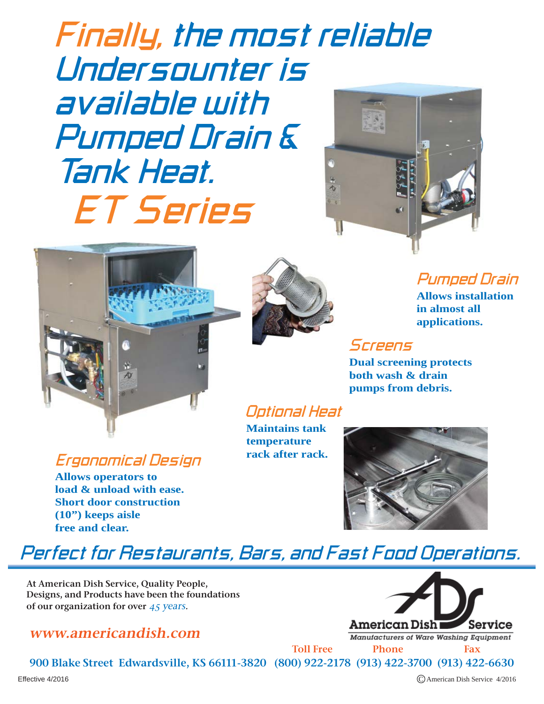*ET Series Finally, the most reliable Undersounter is available with Pumped Drain & Tank Heat.*





### *Ergonomical Design*

**Allows operators to load & unload with ease. Short door construction (10") keeps aisle free and clear.**



### *Pumped Drain*

**Allows installation in almost all applications.**

### *Screens*

**Dual screening protects both wash & drain pumps from debris.**

### *Optional Heat*

**Maintains tank temperature rack after rack.**



## *Perfect for Restaurants, Bars, and Fast Food Operations.*

At American Dish Service, Quality People, Designs, and Products have been the foundations of our organization for over 45 years.

### www.americandish.com



Manufacturers of Ware Washing Equipment

900 Blake Street Edwardsville, KS 66111-3820 (800) 922-2178 (913) 422-3700 (913) 422-6630 Toll Free Phone Fax

Effective 4/2016 C American Dish Service 4/2016